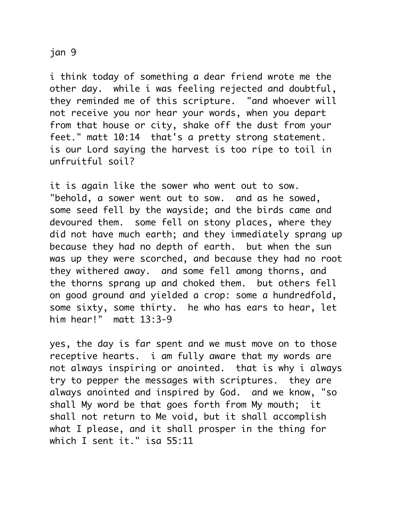## jan 9

i think today of something a dear friend wrote me the other day. while i was feeling rejected and doubtful, they reminded me of this scripture. "and whoever will not receive you nor hear your words, when you depart from that house or city, shake off the dust from your feet." matt 10:14 that's a pretty strong statement. is our Lord saying the harvest is too ripe to toil in unfruitful soil?

it is again like the sower who went out to sow. "behold, a sower went out to sow. and as he sowed, some seed fell by the wayside; and the birds came and devoured them. some fell on stony places, where they did not have much earth; and they immediately sprang up because they had no depth of earth. but when the sun was up they were scorched, and because they had no root they withered away. and some fell among thorns, and the thorns sprang up and choked them. but others fell on good ground and yielded a crop: some a hundredfold, some sixty, some thirty. he who has ears to hear, let him hear!" matt 13:3-9

yes, the day is far spent and we must move on to those receptive hearts. i am fully aware that my words are not always inspiring or anointed. that is why i always try to pepper the messages with scriptures. they are always anointed and inspired by God. and we know, "so shall My word be that goes forth from My mouth; it shall not return to Me void, but it shall accomplish what I please, and it shall prosper in the thing for which I sent it." isa 55:11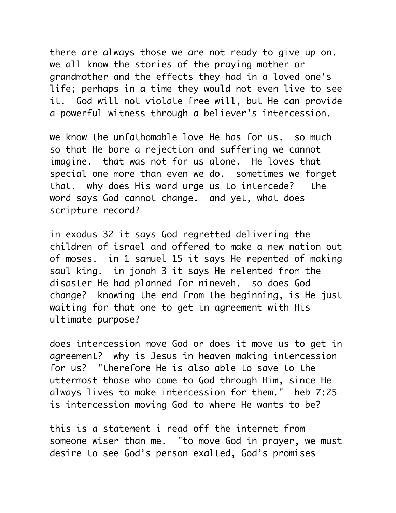there are always those we are not ready to give up on. we all know the stories of the praying mother or grandmother and the effects they had in a loved one's life; perhaps in a time they would not even live to see it. God will not violate free will, but He can provide a powerful witness through a believer's intercession.

we know the unfathomable love He has for us. so much so that He bore a rejection and suffering we cannot imagine. that was not for us alone. He loves that special one more than even we do. sometimes we forget that. why does His word urge us to intercede? the word says God cannot change. and yet, what does scripture record?

in exodus 32 it says God regretted delivering the children of israel and offered to make a new nation out of moses. in 1 samuel 15 it says He repented of making saul king. in jonah 3 it says He relented from the disaster He had planned for nineveh. so does God change? knowing the end from the beginning, is He just waiting for that one to get in agreement with His ultimate purpose?

does intercession move God or does it move us to get in agreement? why is Jesus in heaven making intercession for us? "therefore He is also able to save to the uttermost those who come to God through Him, since He always lives to make intercession for them." heb 7:25 is intercession moving God to where He wants to be?

this is a statement i read off the internet from someone wiser than me. "to move God in prayer, we must desire to see God's person exalted, God's promises